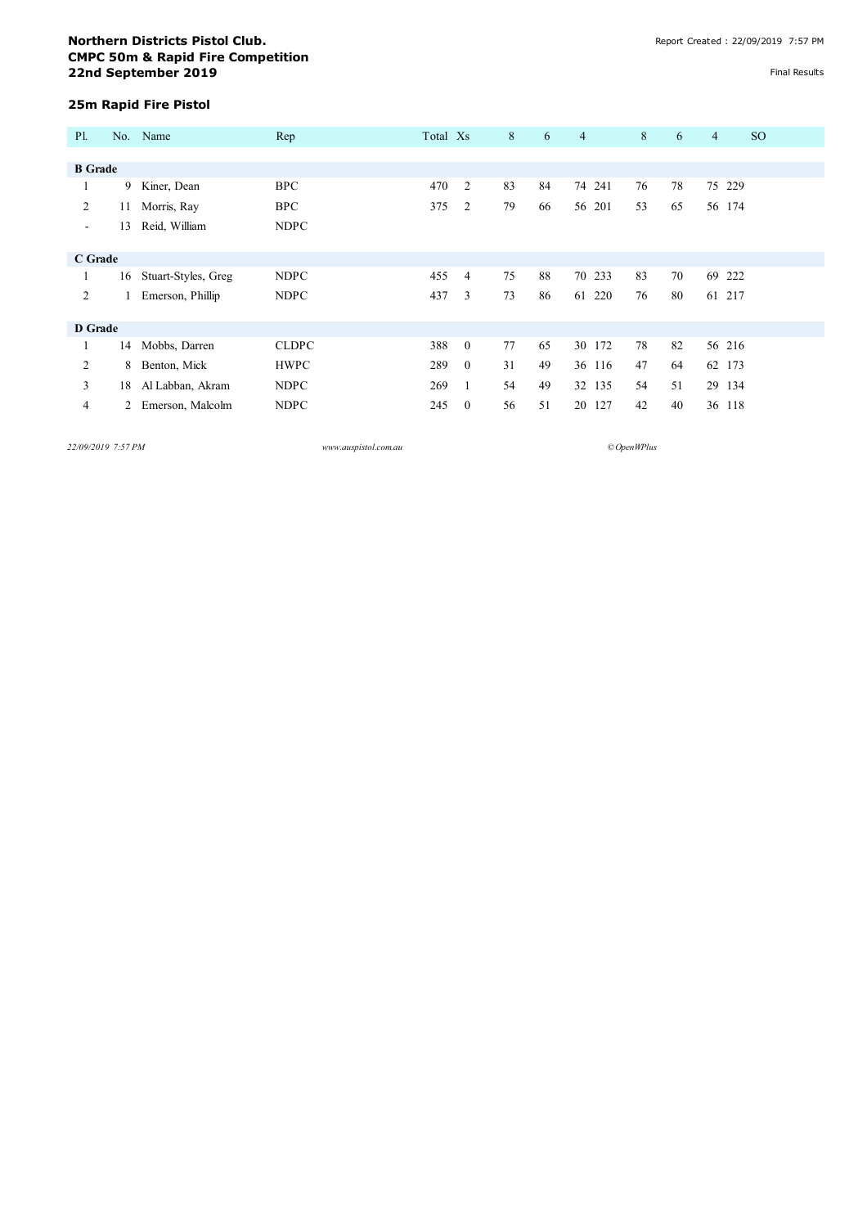## **Northern Districts Pistol Club. Notified the ULUS CONVERTING CONVERTING CONVERTING CREATED STATES AND Report Created : 22/09/2019 7:57 PM CMPC 50m & Rapid Fire Competition 22nd September 2019** Final Results

## **25m Rapid Fire Pistol**

| <b>P1.</b>     |    | No. Name            | Rep          | Total Xs |                | 8  | 6  | $\overline{4}$ | 8  | 6  | $\overline{4}$ | <sub>SO</sub> |
|----------------|----|---------------------|--------------|----------|----------------|----|----|----------------|----|----|----------------|---------------|
|                |    |                     |              |          |                |    |    |                |    |    |                |               |
| <b>B</b> Grade |    |                     |              |          |                |    |    |                |    |    |                |               |
|                | 9  | Kiner, Dean         | <b>BPC</b>   | 470      | 2              | 83 | 84 | 74 241         | 76 | 78 |                | 75 229        |
| 2              | 11 | Morris, Ray         | <b>BPC</b>   | 375      | 2              | 79 | 66 | 56 201         | 53 | 65 |                | 56 174        |
| $\sim$         | 13 | Reid, William       | <b>NDPC</b>  |          |                |    |    |                |    |    |                |               |
|                |    |                     |              |          |                |    |    |                |    |    |                |               |
| C Grade        |    |                     |              |          |                |    |    |                |    |    |                |               |
|                | 16 | Stuart-Styles, Greg | <b>NDPC</b>  | 455      | 4              | 75 | 88 | 70 233         | 83 | 70 |                | 69 222        |
| 2              |    | Emerson, Phillip    | <b>NDPC</b>  | 437      | 3              | 73 | 86 | 61 220         | 76 | 80 |                | 61 217        |
|                |    |                     |              |          |                |    |    |                |    |    |                |               |
| D Grade        |    |                     |              |          |                |    |    |                |    |    |                |               |
|                | 14 | Mobbs, Darren       | <b>CLDPC</b> | 388      | $\theta$       | 77 | 65 | 30 172         | 78 | 82 |                | 56 216        |
| 2              | 8  | Benton, Mick        | <b>HWPC</b>  | 289      | $\overline{0}$ | 31 | 49 | 36 116         | 47 | 64 |                | 62 173        |
| 3              | 18 | Al Labban, Akram    | <b>NDPC</b>  | 269      | 1              | 54 | 49 | 32 135         | 54 | 51 |                | 29 134        |
| 4              | 2  | Emerson, Malcolm    | <b>NDPC</b>  | 245      | $\overline{0}$ | 56 | 51 | 20 127         | 42 | 40 |                | 36 118        |

*22/09/2019 7:57 PM www.auspistol.com.au ©OpenWPlus*